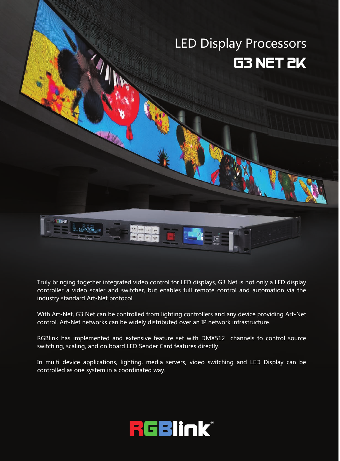# LED Display Processors **G3 NET 2K**



Truly bringing together integrated video control for LED displays, G3 Net is not only a LED display controller a video scaler and switcher, but enables full remote control and automation via the industry standard Art-Net protocol.

With Art-Net, G3 Net can be controlled from lighting controllers and any device providing Art-Net control. Art-Net networks can be widely distributed over an IP network infrastructure.

RGBlink has implemented and extensive feature set with DMX512 channels to control source switching, scaling, and on board LED Sender Card features directly.

In multi device applications, lighting, media servers, video switching and LED Display can be controlled as one system in a coordinated way.

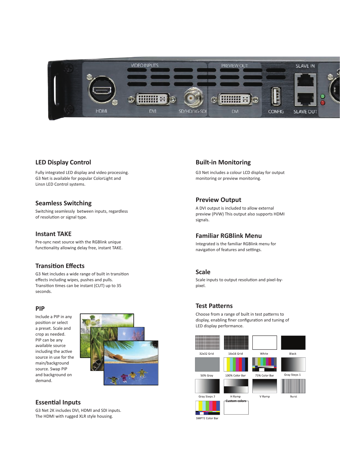

# **LED Display Control LED Display Control**

Fully integrated LED display and video processing. Fully integrated LED display and video processing. G3 Net is available for popular ColorLight and G3 Net is available for popular ColorLight and Linsn LED Control systems. Linsn LED Control systems.

# **Seamless Switching Seamless Switching**

Switching seamlessly between inputs, regardless Switching seamlessly between inputs, regardless of resolution or signal type. of resolution or signal type.

# **Instant TAKE Instant TAKE**

Pre-sync next source with the RGBlink unique Pre-sync next source with the RGBlink unique functionality allowing delay free, instant TAKE. functionality allowing delay free, instant TAKE.

# **Transition Effects Transition Effects**

G3 Net includes a wide range of built in transition G3 Net includes a wide range of built in transition effects including wipes, pushes and pulls. effects including wipes, pushes and pulls. Transition times can be instant (CUT) up to 35 Transition times can be instant (CUT) up to 35 seconds.

### **PIP**

Include a PIP in any position or select **the contract of the set of the set of the set of the set of the set of the set of the set of the set of the set of the set of the set of the set of the set of the set of the set of the set of the set of** a preset. Scale and a preset. Scale and crop as needed. crop as needed. PIP can be any available source available source including the active **including the active** source in use for the main/background main/background source. Swap PIP and background on and background on demand. PIP can be any of the



# **Essential Inputs Essential Inputs**

G3 Net 2K includes DVI, HDMI and SDI inputs. G3 Net 2K includes DVI, HDMI and SDI inputs. The HDMI with rugged XLR style housing. The HDMI with rugged XLR style housing.

# **Built-in Monitoring Built-in Monitoring**

G3 Net includes a colour LCD display for output G3 Net includes a colour LCD display for output monitoring or preview monitoring.

# **Preview Output Preview Output**

A DVI output is included to allow external A DVI output is included to allow external preview (PVW) This output also supports HDMI preview (PVW) This output also supports HDMI signals.

# **Familiar RGBlink Menu Familiar RGBlink Menu**

Integrated is the familiar RGBlink menu for Integrated is the familiar RGBlink menu for navigation of features and settings. navigation of features and settings.

## **Scale**

Scale inputs to output resolution and pixel-by-Scale inputs to output resolution and pixel-bypixel.

# **Test Patterns Test Patterns**

Choose from a range of built in test patterns to Choose from a range of built in test patterns to display, enabling finer configuration and tuning of LED display performance. LED display performance.

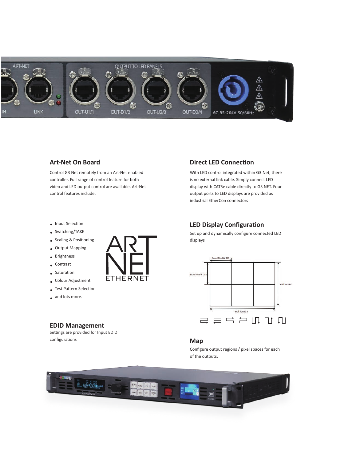

# **Art-Net On Board Art-Net On Board**

Control G3 Net remotely from an Art-Net enabled Control G3 Net remotely from an Art-Net enabled controller. Full range of control feature for both controller. Full range of control feature for both video and LED output control are available. Art-Net video and LED output control are available. Art-Net control features include: control features include:

**ETHERNET** 

- Input Selection Input Selection
- Switching/TAKE Switching/TAKE
- Scaling & Positioning Scaling & Positioning
- Output Mapping Output Mapping
	- **Brightness**
	- Contrast
	- **Saturation**
- Colour Adjustment Colour Adjustment
- Test Pattern Selection Test Pattern Selection
- and lots more. and lots more.

# **EDID Management EDID Management**

Settings are provided for Input EDID Settings are provided for Input EDID configurations configurations

#### is no external link cable. Simply connect LED is no external link cable. Simply connect LED display with CAT5e cable directly to G3 NET. Four display with CAT5e cable directly to G3 NET. Four

With LED control integrated within G3 Net, there With LED control integrated within G3 Net, there

**Direct LED Connection Direct LED Connection**

output ports to LED displays are provided as output ports to LED displays are provided as industrial EtherCon connectors industrial EtherCon connectors

# **LED Display Configuration LED Display Configuration**

Set up and dynamically configure connected LED Set up and dynamically configure connected LED displays



#### **Map**

Configure output regions / pixel spaces for each Configure output regions / pixel spaces for each of the outputs. of the outputs.